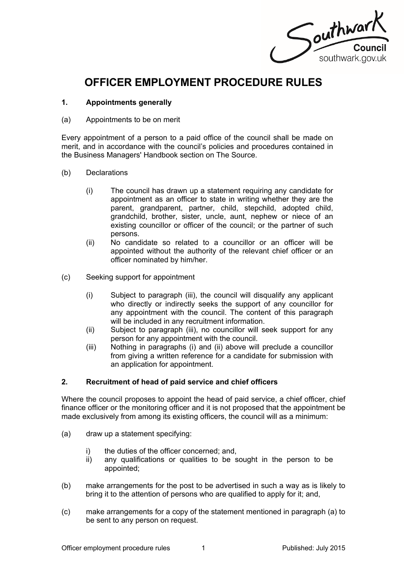

# **OFFICER EMPLOYMENT PROCEDURE RULES**

### **1. Appointments generally**

(a) Appointments to be on merit

Every appointment of a person to a paid office of the council shall be made on merit, and in accordance with the council's policies and procedures contained in the Business Managers' Handbook section on The Source.

- (b) Declarations
	- (i) The council has drawn up a statement requiring any candidate for appointment as an officer to state in writing whether they are the parent, grandparent, partner, child, stepchild, adopted child, grandchild, brother, sister, uncle, aunt, nephew or niece of an existing councillor or officer of the council; or the partner of such persons.
	- (ii) No candidate so related to a councillor or an officer will be appointed without the authority of the relevant chief officer or an officer nominated by him/her.
- (c) Seeking support for appointment
	- (i) Subject to paragraph (iii), the council will disqualify any applicant who directly or indirectly seeks the support of any councillor for any appointment with the council. The content of this paragraph will be included in any recruitment information.
	- (ii) Subject to paragraph (iii), no councillor will seek support for any person for any appointment with the council.
	- (iii) Nothing in paragraphs (i) and (ii) above will preclude a councillor from giving a written reference for a candidate for submission with an application for appointment.

# **2. Recruitment of head of paid service and chief officers**

Where the council proposes to appoint the head of paid service, a chief officer, chief finance officer or the monitoring officer and it is not proposed that the appointment be made exclusively from among its existing officers, the council will as a minimum:

- (a) draw up a statement specifying:
	- i) the duties of the officer concerned; and,
	- ii) any qualifications or qualities to be sought in the person to be appointed;
- (b) make arrangements for the post to be advertised in such a way as is likely to bring it to the attention of persons who are qualified to apply for it; and,
- (c) make arrangements for a copy of the statement mentioned in paragraph (a) to be sent to any person on request.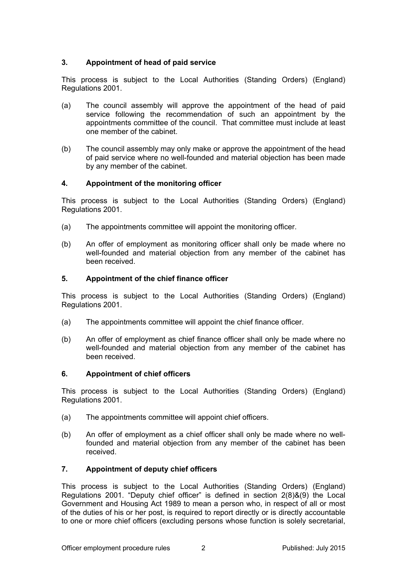# **3. Appointment of head of paid service**

This process is subject to the Local Authorities (Standing Orders) (England) Regulations 2001.

- (a) The council assembly will approve the appointment of the head of paid service following the recommendation of such an appointment by the appointments committee of the council. That committee must include at least one member of the cabinet.
- (b) The council assembly may only make or approve the appointment of the head of paid service where no well-founded and material objection has been made by any member of the cabinet.

# **4. Appointment of the monitoring officer**

This process is subject to the Local Authorities (Standing Orders) (England) Regulations 2001.

- (a) The appointments committee will appoint the monitoring officer.
- (b) An offer of employment as monitoring officer shall only be made where no well-founded and material objection from any member of the cabinet has been received.

# **5. Appointment of the chief finance officer**

This process is subject to the Local Authorities (Standing Orders) (England) Regulations 2001.

- (a) The appointments committee will appoint the chief finance officer.
- (b) An offer of employment as chief finance officer shall only be made where no well-founded and material objection from any member of the cabinet has been received.

# **6. Appointment of chief officers**

This process is subject to the Local Authorities (Standing Orders) (England) Regulations 2001.

- (a) The appointments committee will appoint chief officers.
- (b) An offer of employment as a chief officer shall only be made where no wellfounded and material objection from any member of the cabinet has been received.

# **7. Appointment of deputy chief officers**

This process is subject to the Local Authorities (Standing Orders) (England) Regulations 2001. "Deputy chief officer" is defined in section 2(8)&(9) the Local Government and Housing Act 1989 to mean a person who, in respect of all or most of the duties of his or her post, is required to report directly or is directly accountable to one or more chief officers (excluding persons whose function is solely secretarial,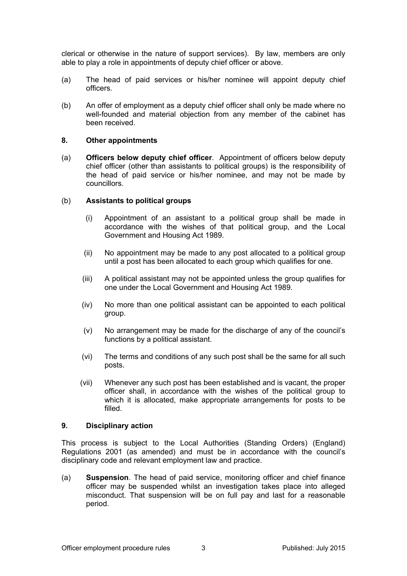clerical or otherwise in the nature of support services). By law, members are only able to play a role in appointments of deputy chief officer or above.

- (a) The head of paid services or his/her nominee will appoint deputy chief officers.
- (b) An offer of employment as a deputy chief officer shall only be made where no well-founded and material objection from any member of the cabinet has been received.

#### **8. Other appointments**

(a) **Officers below deputy chief officer**. Appointment of officers below deputy chief officer (other than assistants to political groups) is the responsibility of the head of paid service or his/her nominee, and may not be made by councillors.

#### (b) **Assistants to political groups**

- (i) Appointment of an assistant to a political group shall be made in accordance with the wishes of that political group, and the Local Government and Housing Act 1989.
- (ii) No appointment may be made to any post allocated to a political group until a post has been allocated to each group which qualifies for one.
- (iii) A political assistant may not be appointed unless the group qualifies for one under the Local Government and Housing Act 1989.
- (iv) No more than one political assistant can be appointed to each political group.
- (v) No arrangement may be made for the discharge of any of the council's functions by a political assistant.
- (vi) The terms and conditions of any such post shall be the same for all such posts.
- (vii) Whenever any such post has been established and is vacant, the proper officer shall, in accordance with the wishes of the political group to which it is allocated, make appropriate arrangements for posts to be filled.

#### **9. Disciplinary action**

This process is subject to the Local Authorities (Standing Orders) (England) Regulations 2001 (as amended) and must be in accordance with the council's disciplinary code and relevant employment law and practice.

(a) **Suspension**. The head of paid service, monitoring officer and chief finance officer may be suspended whilst an investigation takes place into alleged misconduct. That suspension will be on full pay and last for a reasonable period.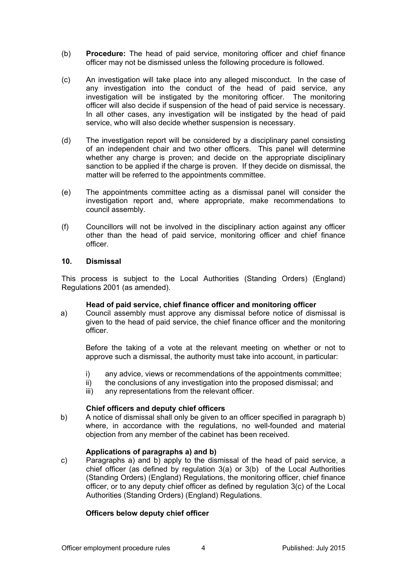- (b) **Procedure:** The head of paid service, monitoring officer and chief finance officer may not be dismissed unless the following procedure is followed.
- (c) An investigation will take place into any alleged misconduct. In the case of any investigation into the conduct of the head of paid service, any investigation will be instigated by the monitoring officer. The monitoring officer will also decide if suspension of the head of paid service is necessary. In all other cases, any investigation will be instigated by the head of paid service, who will also decide whether suspension is necessary.
- (d) The investigation report will be considered by a disciplinary panel consisting of an independent chair and two other officers. This panel will determine whether any charge is proven; and decide on the appropriate disciplinary sanction to be applied if the charge is proven. If they decide on dismissal, the matter will be referred to the appointments committee.
- (e) The appointments committee acting as a dismissal panel will consider the investigation report and, where appropriate, make recommendations to council assembly.
- (f) Councillors will not be involved in the disciplinary action against any officer other than the head of paid service, monitoring officer and chief finance officer.

#### **10. Dismissal**

This process is subject to the Local Authorities (Standing Orders) (England) Regulations 2001 (as amended).

#### **Head of paid service, chief finance officer and monitoring officer**

a) Council assembly must approve any dismissal before notice of dismissal is given to the head of paid service, the chief finance officer and the monitoring officer.

Before the taking of a vote at the relevant meeting on whether or not to approve such a dismissal, the authority must take into account, in particular:

- i) any advice, views or recommendations of the appointments committee;
- ii) the conclusions of any investigation into the proposed dismissal; and
- iii) any representations from the relevant officer.

# **Chief officers and deputy chief officers**

b) A notice of dismissal shall only be given to an officer specified in paragraph b) where, in accordance with the regulations, no well-founded and material objection from any member of the cabinet has been received.

# **Applications of paragraphs a) and b)**

c) Paragraphs a) and b) apply to the dismissal of the head of paid service, a chief officer (as defined by regulation 3(a) or 3(b) of the Local Authorities (Standing Orders) (England) Regulations, the monitoring officer, chief finance officer, or to any deputy chief officer as defined by regulation 3(c) of the Local Authorities (Standing Orders) (England) Regulations.

# **Officers below deputy chief officer**